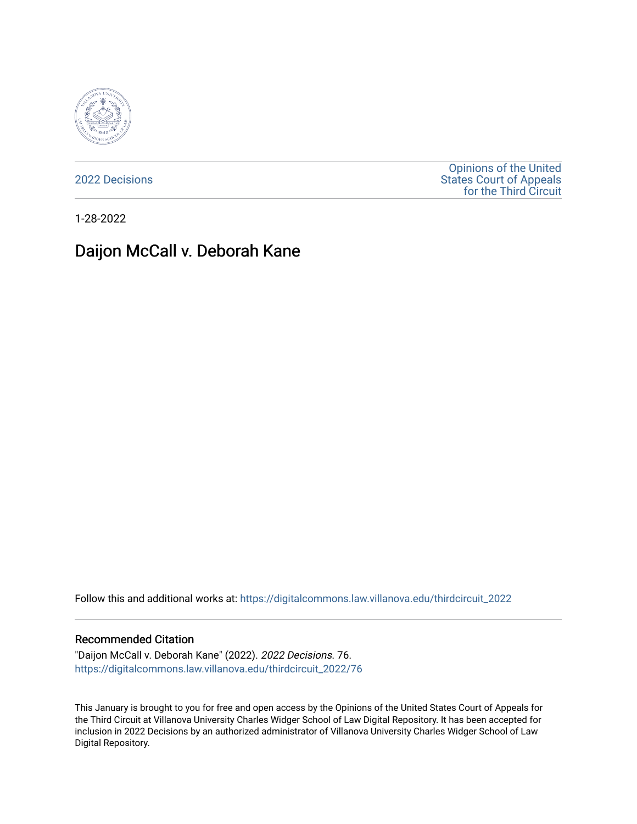

[2022 Decisions](https://digitalcommons.law.villanova.edu/thirdcircuit_2022)

[Opinions of the United](https://digitalcommons.law.villanova.edu/thirdcircuit)  [States Court of Appeals](https://digitalcommons.law.villanova.edu/thirdcircuit)  [for the Third Circuit](https://digitalcommons.law.villanova.edu/thirdcircuit) 

1-28-2022

# Daijon McCall v. Deborah Kane

Follow this and additional works at: [https://digitalcommons.law.villanova.edu/thirdcircuit\\_2022](https://digitalcommons.law.villanova.edu/thirdcircuit_2022?utm_source=digitalcommons.law.villanova.edu%2Fthirdcircuit_2022%2F76&utm_medium=PDF&utm_campaign=PDFCoverPages) 

#### Recommended Citation

"Daijon McCall v. Deborah Kane" (2022). 2022 Decisions. 76. [https://digitalcommons.law.villanova.edu/thirdcircuit\\_2022/76](https://digitalcommons.law.villanova.edu/thirdcircuit_2022/76?utm_source=digitalcommons.law.villanova.edu%2Fthirdcircuit_2022%2F76&utm_medium=PDF&utm_campaign=PDFCoverPages)

This January is brought to you for free and open access by the Opinions of the United States Court of Appeals for the Third Circuit at Villanova University Charles Widger School of Law Digital Repository. It has been accepted for inclusion in 2022 Decisions by an authorized administrator of Villanova University Charles Widger School of Law Digital Repository.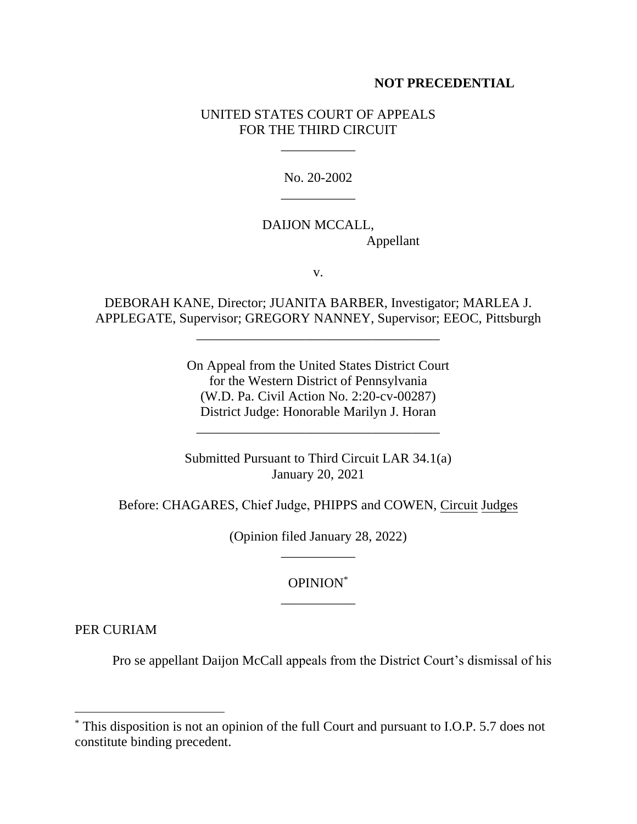#### **NOT PRECEDENTIAL**

#### UNITED STATES COURT OF APPEALS FOR THE THIRD CIRCUIT

\_\_\_\_\_\_\_\_\_\_\_

No. 20-2002 \_\_\_\_\_\_\_\_\_\_\_

## DAIJON MCCALL, Appellant

v.

DEBORAH KANE, Director; JUANITA BARBER, Investigator; MARLEA J. APPLEGATE, Supervisor; GREGORY NANNEY, Supervisor; EEOC, Pittsburgh

\_\_\_\_\_\_\_\_\_\_\_\_\_\_\_\_\_\_\_\_\_\_\_\_\_\_\_\_\_\_\_\_\_\_\_\_

On Appeal from the United States District Court for the Western District of Pennsylvania (W.D. Pa. Civil Action No. 2:20-cv-00287) District Judge: Honorable Marilyn J. Horan

Submitted Pursuant to Third Circuit LAR 34.1(a) January 20, 2021

\_\_\_\_\_\_\_\_\_\_\_\_\_\_\_\_\_\_\_\_\_\_\_\_\_\_\_\_\_\_\_\_\_\_\_\_

Before: CHAGARES, Chief Judge, PHIPPS and COWEN, Circuit Judges

(Opinion filed January 28, 2022) \_\_\_\_\_\_\_\_\_\_\_

### OPINION\* \_\_\_\_\_\_\_\_\_\_\_

PER CURIAM

Pro se appellant Daijon McCall appeals from the District Court's dismissal of his

<sup>\*</sup> This disposition is not an opinion of the full Court and pursuant to I.O.P. 5.7 does not constitute binding precedent.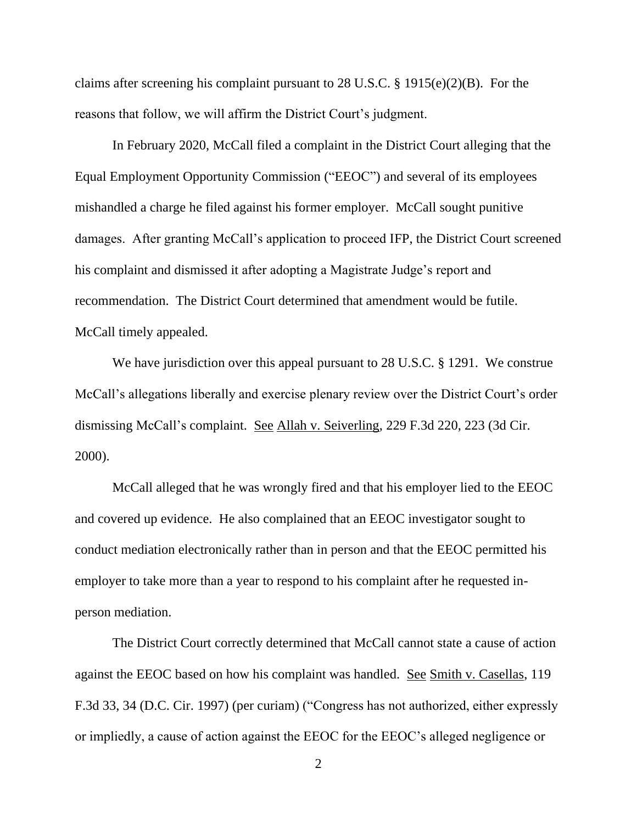claims after screening his complaint pursuant to 28 U.S.C. § 1915(e)(2)(B). For the reasons that follow, we will affirm the District Court's judgment.

In February 2020, McCall filed a complaint in the District Court alleging that the Equal Employment Opportunity Commission ("EEOC") and several of its employees mishandled a charge he filed against his former employer. McCall sought punitive damages. After granting McCall's application to proceed IFP, the District Court screened his complaint and dismissed it after adopting a Magistrate Judge's report and recommendation. The District Court determined that amendment would be futile. McCall timely appealed.

We have jurisdiction over this appeal pursuant to 28 U.S.C. § 1291. We construe McCall's allegations liberally and exercise plenary review over the District Court's order dismissing McCall's complaint. See Allah v. Seiverling, 229 F.3d 220, 223 (3d Cir. 2000).

McCall alleged that he was wrongly fired and that his employer lied to the EEOC and covered up evidence. He also complained that an EEOC investigator sought to conduct mediation electronically rather than in person and that the EEOC permitted his employer to take more than a year to respond to his complaint after he requested inperson mediation.

The District Court correctly determined that McCall cannot state a cause of action against the EEOC based on how his complaint was handled. See Smith v. Casellas, 119 F.3d 33, 34 (D.C. Cir. 1997) (per curiam) ("Congress has not authorized, either expressly or impliedly, a cause of action against the EEOC for the EEOC's alleged negligence or

2